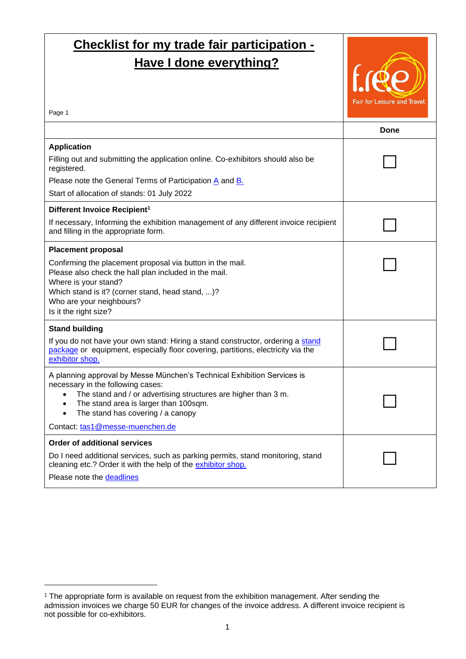## **Checklist for my trade fair participation - Have I done everything?**



| Page 1                                                                                                                                                                                                                                                                                              |      |
|-----------------------------------------------------------------------------------------------------------------------------------------------------------------------------------------------------------------------------------------------------------------------------------------------------|------|
|                                                                                                                                                                                                                                                                                                     | Done |
| <b>Application</b>                                                                                                                                                                                                                                                                                  |      |
| Filling out and submitting the application online. Co-exhibitors should also be<br>registered.                                                                                                                                                                                                      |      |
| Please note the General Terms of Participation A and B.                                                                                                                                                                                                                                             |      |
| Start of allocation of stands: 01 July 2022                                                                                                                                                                                                                                                         |      |
| Different Invoice Recipient <sup>1</sup>                                                                                                                                                                                                                                                            |      |
| If necessary, Informing the exhibition management of any different invoice recipient<br>and filling in the appropriate form.                                                                                                                                                                        |      |
| <b>Placement proposal</b>                                                                                                                                                                                                                                                                           |      |
| Confirming the placement proposal via button in the mail.<br>Please also check the hall plan included in the mail.<br>Where is your stand?<br>Which stand is it? (corner stand, head stand, )?<br>Who are your neighbours?                                                                          |      |
| Is it the right size?                                                                                                                                                                                                                                                                               |      |
| <b>Stand building</b>                                                                                                                                                                                                                                                                               |      |
| If you do not have your own stand: Hiring a stand constructor, ordering a stand<br>package or equipment, especially floor covering, partitions, electricity via the<br>exhibitor shop.                                                                                                              |      |
| A planning approval by Messe München's Technical Exhibition Services is<br>necessary in the following cases:<br>The stand and / or advertising structures are higher than 3 m.<br>$\bullet$<br>The stand area is larger than 100sqm.<br>$\bullet$<br>The stand has covering / a canopy<br>$\bullet$ |      |
| Contact: tas1@messe-muenchen.de                                                                                                                                                                                                                                                                     |      |
| <b>Order of additional services</b>                                                                                                                                                                                                                                                                 |      |
| Do I need additional services, such as parking permits, stand monitoring, stand<br>cleaning etc.? Order it with the help of the exhibitor shop.                                                                                                                                                     |      |
| Please note the deadlines                                                                                                                                                                                                                                                                           |      |

<sup>&</sup>lt;sup>1</sup> The appropriate form is available on request from the exhibition management. After sending the admission invoices we charge 50 EUR for changes of the invoice address. A different invoice recipient is not possible for co-exhibitors.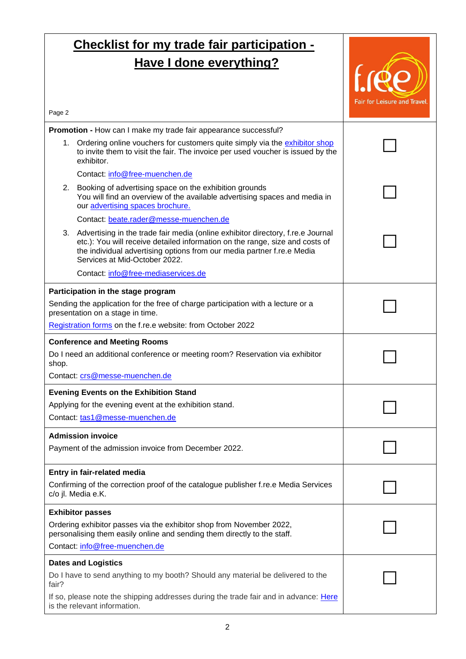|                                                                                                                                                  | <u>Checklist for my trade fair participation -</u>                                                                                                                                                                                                                         |                                    |
|--------------------------------------------------------------------------------------------------------------------------------------------------|----------------------------------------------------------------------------------------------------------------------------------------------------------------------------------------------------------------------------------------------------------------------------|------------------------------------|
|                                                                                                                                                  | <b>Have I done everything?</b>                                                                                                                                                                                                                                             |                                    |
|                                                                                                                                                  |                                                                                                                                                                                                                                                                            |                                    |
| Page 2                                                                                                                                           |                                                                                                                                                                                                                                                                            | <b>Fair for Leisure and Travel</b> |
|                                                                                                                                                  | Promotion - How can I make my trade fair appearance successful?                                                                                                                                                                                                            |                                    |
| 1.                                                                                                                                               | Ordering online vouchers for customers quite simply via the exhibitor shop<br>to invite them to visit the fair. The invoice per used voucher is issued by the<br>exhibitor.                                                                                                |                                    |
|                                                                                                                                                  | Contact: info@free-muenchen.de                                                                                                                                                                                                                                             |                                    |
| 2.                                                                                                                                               | Booking of advertising space on the exhibition grounds<br>You will find an overview of the available advertising spaces and media in<br>our advertising spaces brochure.                                                                                                   |                                    |
|                                                                                                                                                  | Contact: beate.rader@messe-muenchen.de                                                                                                                                                                                                                                     |                                    |
| 3.                                                                                                                                               | Advertising in the trade fair media (online exhibitor directory, f.re.e Journal<br>etc.): You will receive detailed information on the range, size and costs of<br>the individual advertising options from our media partner f.re.e Media<br>Services at Mid-October 2022. |                                    |
|                                                                                                                                                  | Contact: info@free-mediaservices.de                                                                                                                                                                                                                                        |                                    |
|                                                                                                                                                  | Participation in the stage program                                                                                                                                                                                                                                         |                                    |
| Sending the application for the free of charge participation with a lecture or a<br>presentation on a stage in time.                             |                                                                                                                                                                                                                                                                            |                                    |
|                                                                                                                                                  | Registration forms on the f.re.e website: from October 2022                                                                                                                                                                                                                |                                    |
|                                                                                                                                                  | <b>Conference and Meeting Rooms</b>                                                                                                                                                                                                                                        |                                    |
| Do I need an additional conference or meeting room? Reservation via exhibitor<br>shop.                                                           |                                                                                                                                                                                                                                                                            |                                    |
|                                                                                                                                                  | Contact: crs@messe-muenchen.de                                                                                                                                                                                                                                             |                                    |
|                                                                                                                                                  | <b>Evening Events on the Exhibition Stand</b>                                                                                                                                                                                                                              |                                    |
| Applying for the evening event at the exhibition stand.                                                                                          |                                                                                                                                                                                                                                                                            |                                    |
|                                                                                                                                                  | Contact: tas1@messe-muenchen.de                                                                                                                                                                                                                                            |                                    |
| <b>Admission invoice</b>                                                                                                                         |                                                                                                                                                                                                                                                                            |                                    |
|                                                                                                                                                  | Payment of the admission invoice from December 2022.                                                                                                                                                                                                                       |                                    |
| Entry in fair-related media                                                                                                                      |                                                                                                                                                                                                                                                                            |                                    |
|                                                                                                                                                  | Confirming of the correction proof of the catalogue publisher f.re.e Media Services<br>c/o jl. Media e.K.                                                                                                                                                                  |                                    |
| <b>Exhibitor passes</b>                                                                                                                          |                                                                                                                                                                                                                                                                            |                                    |
| Ordering exhibitor passes via the exhibitor shop from November 2022,<br>personalising them easily online and sending them directly to the staff. |                                                                                                                                                                                                                                                                            |                                    |
|                                                                                                                                                  | Contact: info@free-muenchen.de                                                                                                                                                                                                                                             |                                    |
| <b>Dates and Logistics</b>                                                                                                                       |                                                                                                                                                                                                                                                                            |                                    |
| fair?                                                                                                                                            | Do I have to send anything to my booth? Should any material be delivered to the                                                                                                                                                                                            |                                    |
|                                                                                                                                                  | If so, please note the shipping addresses during the trade fair and in advance: Here<br>is the relevant information.                                                                                                                                                       |                                    |